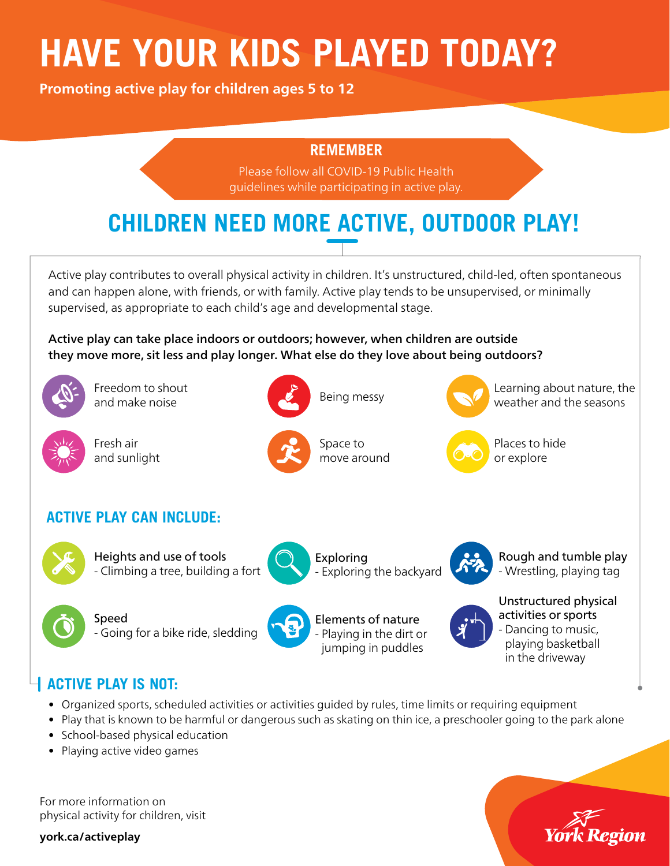# **HAVE YOUR KIDS PLAYED TODAY?**

**Promoting active play for children ages 5 to 12** 

#### **REMEMBER**

Please follow all COVID-19 Public Health guidelines while participating in active play.

## **CHILDREN NEED MORE ACTIVE, OUTDOOR PLAY!**

Active play contributes to overall physical activity in children. It's unstructured, child-led, often spontaneous and can happen alone, with friends, or with family. Active play tends to be unsupervised, or minimally supervised, as appropriate to each child's age and developmental stage.

Active play can take place indoors or outdoors; however, when children are outside they move more, sit less and play longer. What else do they love about being outdoors?



Freedom to shout and make noise



Fresh air and sunlight



Space to move around

Being messy



Learning about nature, the weather and the seasons



#### **ACTIVE PLAY CAN INCLUDE:**



Heights and use of tools - Climbing a tree, building a fort

- Going for a bike ride, sledding



Exploring - Exploring the backyard

Elements of nature - Playing in the dirt or jumping in puddles



Rough and tumble play - Wrestling, playing tag



Unstructured physical activities or sports - Dancing to music, playing basketball in the driveway

### **ACTIVE PLAY IS NOT:**

Speed

- Organized sports, scheduled activities or activities guided by rules, time limits or requiring equipment
- Play that is known to be harmful or dangerous such as skating on thin ice, a preschooler going to the park alone
- School-based physical education
- Playing active video games

For more information on physical activity for children, visit

**york.ca/activeplay**